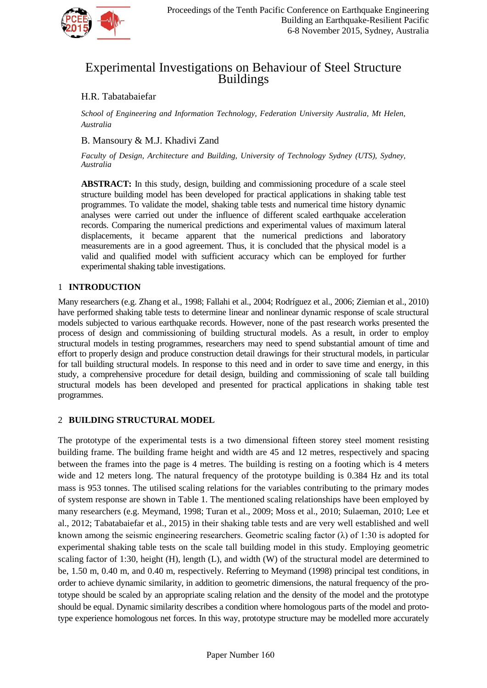

# Experimental Investigations on Behaviour of Steel Structure Buildings

# H.R. Tabatabaiefar

*School of Engineering and Information Technology, Federation University Australia, Mt Helen, Australia*

# B. Mansoury & M.J. Khadivi Zand

*Faculty of Design, Architecture and Building, University of Technology Sydney (UTS), Sydney, Australia*

**ABSTRACT:** In this study, design, building and commissioning procedure of a scale steel structure building model has been developed for practical applications in shaking table test programmes. To validate the model, shaking table tests and numerical time history dynamic analyses were carried out under the influence of different scaled earthquake acceleration records. Comparing the numerical predictions and experimental values of maximum lateral displacements, it became apparent that the numerical predictions and laboratory measurements are in a good agreement. Thus, it is concluded that the physical model is a valid and qualified model with sufficient accuracy which can be employed for further experimental shaking table investigations.

# 1 **INTRODUCTION**

Many researchers (e.g. Zhang et al., 1998; Fallahi et al., 2004; Rodríguez et al., 2006; Ziemian et al., 2010) have performed shaking table tests to determine linear and nonlinear dynamic response of scale structural models subjected to various earthquake records. However, none of the past research works presented the process of design and commissioning of building structural models. As a result, in order to employ structural models in testing programmes, researchers may need to spend substantial amount of time and effort to properly design and produce construction detail drawings for their structural models, in particular for tall building structural models. In response to this need and in order to save time and energy, in this study, a comprehensive procedure for detail design, building and commissioning of scale tall building structural models has been developed and presented for practical applications in shaking table test programmes.

# 2 **BUILDING STRUCTURAL MODEL**

The prototype of the experimental tests is a two dimensional fifteen storey steel moment resisting building frame. The building frame height and width are 45 and 12 metres, respectively and spacing between the frames into the page is 4 metres. The building is resting on a footing which is 4 meters wide and 12 meters long. The natural frequency of the prototype building is 0.384 Hz and its total mass is 953 tonnes. The utilised scaling relations for the variables contributing to the primary modes of system response are shown in Table 1. The mentioned scaling relationships have been employed by many researchers (e.g. Meymand, 1998; Turan et al., 2009; Moss et al., 2010; Sulaeman, 2010; Lee et al., 2012; Tabatabaiefar et al., 2015) in their shaking table tests and are very well established and well known among the seismic engineering researchers. Geometric scaling factor  $(\lambda)$  of 1:30 is adopted for experimental shaking table tests on the scale tall building model in this study. Employing geometric scaling factor of 1:30, height (H), length (L), and width (W) of the structural model are determined to be, 1.50 m, 0.40 m, and 0.40 m, respectively. Referring to Meymand (1998) principal test conditions, in order to achieve dynamic similarity, in addition to geometric dimensions, the natural frequency of the prototype should be scaled by an appropriate scaling relation and the density of the model and the prototype should be equal. Dynamic similarity describes a condition where homologous parts of the model and prototype experience homologous net forces. In this way, prototype structure may be modelled more accurately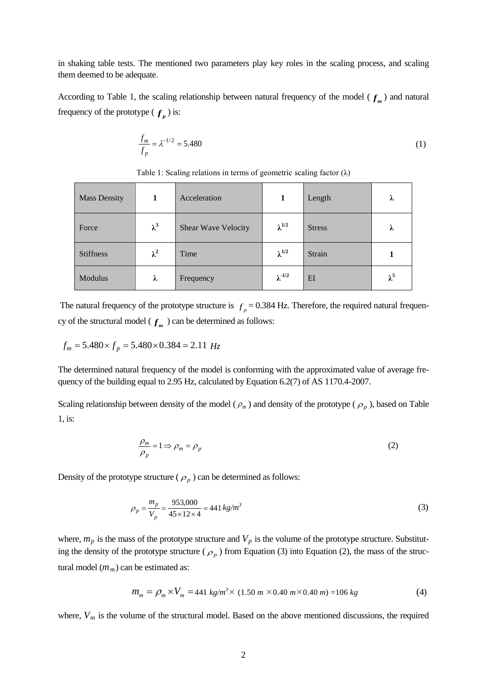in shaking table tests. The mentioned two parameters play key roles in the scaling process, and scaling them deemed to be adequate.

According to Table 1, the scaling relationship between natural frequency of the model ( $f<sub>m</sub>$ ) and natural frequency of the prototype ( $f_n$ ) is:

$$
\frac{f_m}{f_p} = \lambda^{-1/2} = 5.480\tag{1}
$$

Mass Density **1 1** Acceleration **1 1** Length **λ** Force  $\lambda^3$  Shear Wave Velocity  $\lambda^{1/2}$  Stress  $\lambda$ Stiffness  $\lambda^2$  Time  $\lambda^{1/2}$  Strain 1 Modulus **λ** Frequency **λ**  $\lambda^{1/2}$  EI  $\lambda^5$ 

Table 1: Scaling relations in terms of geometric scaling factor  $(\lambda)$ 

The natural frequency of the prototype structure is  $f_p = 0.384$  Hz. Therefore, the required natural frequency of the structural model ( $f_m$ ) can be determined as follows:

$$
f_m = 5.480 \times f_p = 5.480 \times 0.384 = 2.11 Hz
$$

The determined natural frequency of the model is conforming with the approximated value of average frequency of the building equal to 2.95 Hz, calculated by Equation 6.2(7) of AS 1170.4-2007.

Scaling relationship between density of the model ( $\rho_m$ ) and density of the prototype ( $\rho_p$ ), based on Table 1, is:

$$
\frac{\rho_m}{\rho_p} = 1 \Longrightarrow \rho_m = \rho_p \tag{2}
$$

Density of the prototype structure ( $\rho_p$ ) can be determined as follows:

$$
\rho_p = \frac{m_p}{V_p} = \frac{953,000}{45 \times 12 \times 4} = 441 \, kg/m^3 \tag{3}
$$

where,  $m_p$  is the mass of the prototype structure and  $V_p$  is the volume of the prototype structure. Substituting the density of the prototype structure ( $\rho_p$ ) from Equation (3) into Equation (2), the mass of the structural model  $(m_m)$  can be estimated as:

$$
m_m = \rho_m \times V_m = 441 \text{ kg/m}^3 \times (1.50 \text{ m} \times 0.40 \text{ m} \times 0.40 \text{ m}) = 106 \text{ kg}
$$
 (4)

where,  $V_m$  is the volume of the structural model. Based on the above mentioned discussions, the required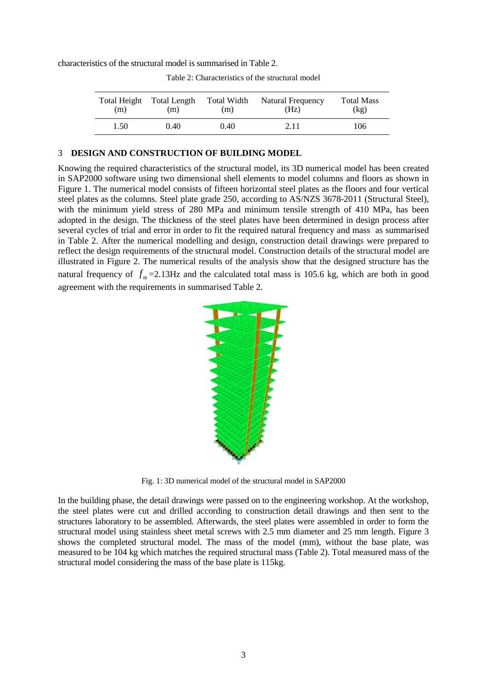characteristics of the structural model is summarised in Table 2.

| Total Height | <b>Total Length</b> | Total Width | Natural Frequency | <b>Total Mass</b> |
|--------------|---------------------|-------------|-------------------|-------------------|
| (m)          | (m)                 | (m)         | (Hz)              | (kg)              |
| 1.50         | 0.40                | 0.40        | 2.11              | 106               |

Table 2: Characteristics of the structural model

#### 3 **DESIGN AND CONSTRUCTION OF BUILDING MODEL**

Knowing the required characteristics of the structural model, its 3D numerical model has been created in SAP2000 software using two dimensional shell elements to model columns and floors as shown in Figure 1. The numerical model consists of fifteen horizontal steel plates as the floors and four vertical steel plates as the columns. Steel plate grade 250, according to AS/NZS 3678-2011 (Structural Steel), with the minimum yield stress of 280 MPa and minimum tensile strength of 410 MPa, has been adopted in the design. The thickness of the steel plates have been determined in design process after several cycles of trial and error in order to fit the required natural frequency and mass as summarised in Table 2. After the numerical modelling and design, construction detail drawings were prepared to reflect the design requirements of the structural model. Construction details of the structural model are illustrated in Figure 2. The numerical results of the analysis show that the designed structure has the natural frequency of  $f_m = 2.13$ Hz and the calculated total mass is 105.6 kg, which are both in good agreement with the requirements in summarised Table 2.



Fig. 1: 3D numerical model of the structural model in SAP2000

In the building phase, the detail drawings were passed on to the engineering workshop. At the workshop, the steel plates were cut and drilled according to construction detail drawings and then sent to the structures laboratory to be assembled. Afterwards, the steel plates were assembled in order to form the structural model using stainless sheet metal screws with 2.5 mm diameter and 25 mm length. Figure 3 shows the completed structural model. The mass of the model (mm), without the base plate, was measured to be 104 kg which matches the required structural mass (Table 2). Total measured mass of the structural model considering the mass of the base plate is 115kg.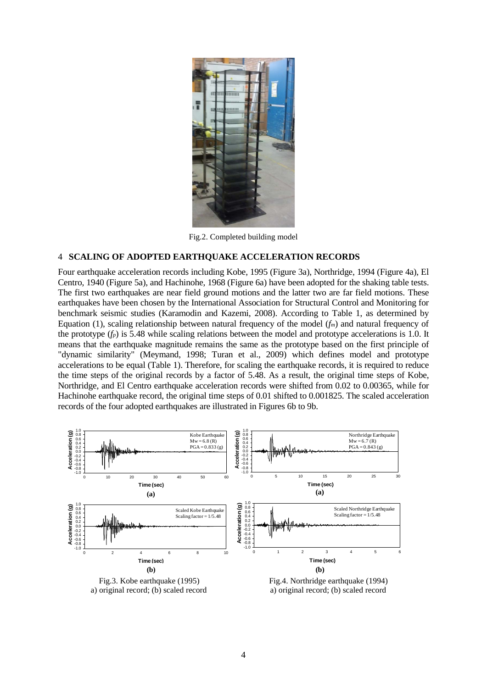

Fig.2. Completed building model

## 4 **SCALING OF ADOPTED EARTHQUAKE ACCELERATION RECORDS**

Four earthquake acceleration records including Kobe, 1995 (Figure 3a), Northridge, 1994 (Figure 4a), El Centro, 1940 (Figure 5a), and Hachinohe, 1968 (Figure 6a) have been adopted for the shaking table tests. The first two earthquakes are near field ground motions and the latter two are far field motions. These earthquakes have been chosen by the International Association for Structural Control and Monitoring for benchmark seismic studies (Karamodin and Kazemi, 2008). According to Table 1, as determined by Equation (1), scaling relationship between natural frequency of the model (*fm*) and natural frequency of the prototype  $(f_p)$  is 5.48 while scaling relations between the model and prototype accelerations is 1.0. It means that the earthquake magnitude remains the same as the prototype based on the first principle of "dynamic similarity" (Meymand, 1998; Turan et al., 2009) which defines model and prototype accelerations to be equal (Table 1). Therefore, for scaling the earthquake records, it is required to reduce the time steps of the original records by a factor of 5.48. As a result, the original time steps of Kobe, Northridge, and El Centro earthquake acceleration records were shifted from 0.02 to 0.00365, while for Hachinohe earthquake record, the original time steps of 0.01 shifted to 0.001825. The scaled acceleration records of the four adopted earthquakes are illustrated in Figures 6b to 9b.

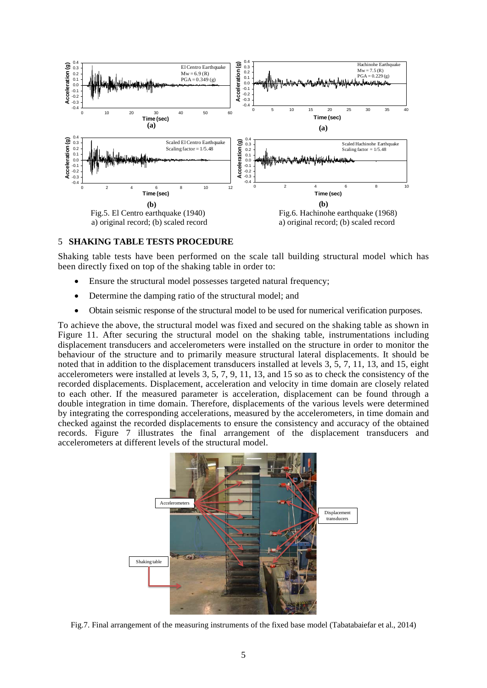

## 5 **SHAKING TABLE TESTS PROCEDURE**

Shaking table tests have been performed on the scale tall building structural model which has been directly fixed on top of the shaking table in order to:

- Ensure the structural model possesses targeted natural frequency;
- Determine the damping ratio of the structural model; and
- Obtain seismic response of the structural model to be used for numerical verification purposes.

To achieve the above, the structural model was fixed and secured on the shaking table as shown in Figure 11. After securing the structural model on the shaking table, instrumentations including displacement transducers and accelerometers were installed on the structure in order to monitor the behaviour of the structure and to primarily measure structural lateral displacements. It should be noted that in addition to the displacement transducers installed at levels 3, 5, 7, 11, 13, and 15, eight accelerometers were installed at levels 3, 5, 7, 9, 11, 13, and 15 so as to check the consistency of the recorded displacements. Displacement, acceleration and velocity in time domain are closely related to each other. If the measured parameter is acceleration, displacement can be found through a double integration in time domain. Therefore, displacements of the various levels were determined by integrating the corresponding accelerations, measured by the accelerometers, in time domain and checked against the recorded displacements to ensure the consistency and accuracy of the obtained records. Figure 7 illustrates the final arrangement of the displacement transducers and accelerometers at different levels of the structural model.



Fig.7. Final arrangement of the measuring instruments of the fixed base model (Tabatabaiefar et al., 2014)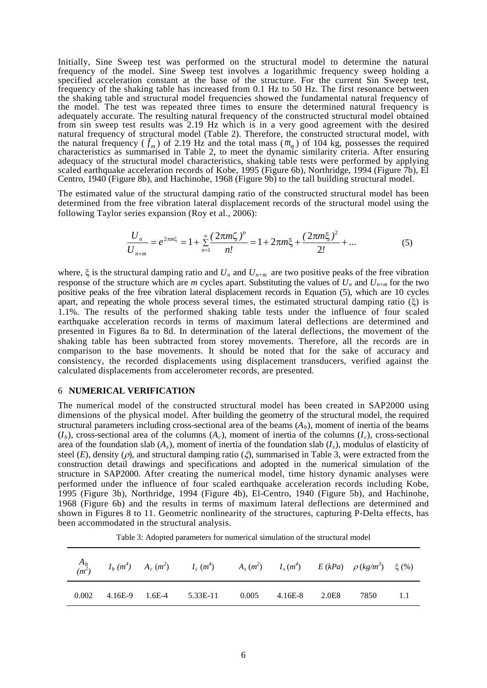Initially, Sine Sweep test was performed on the structural model to determine the natural frequency of the model. Sine Sweep test involves a logarithmic frequency sweep holding a specified acceleration constant at the base of the structure. For the current Sin Sweep test, frequency of the shaking table has increased from 0.1 Hz to 50 Hz. The first resonance between the shaking table and structural model frequencies showed the fundamental natural frequency of the model. The test was repeated three times to ensure the determined natural frequency is adequately accurate. The resulting natural frequency of the constructed structural model obtained from sin sweep test results was 2.19 Hz which is in a very good agreement with the desired natural frequency of structural model (Table 2). Therefore, the constructed structural model, with the natural frequency ( $f_m$ ) of 2.19 Hz and the total mass ( $m_m$ ) of 104 kg, possesses the required characteristics as summarised in Table 2, to meet the dynamic similarity criteria. After ensuring adequacy of the structural model characteristics, shaking table tests were performed by applying scaled earthquake acceleration records of Kobe, 1995 (Figure 6b), Northridge, 1994 (Figure 7b), El Centro, 1940 (Figure 8b), and Hachinohe, 1968 (Figure 9b) to the tall building structural model.

The estimated value of the structural damping ratio of the constructed structural model has been determined from the free vibration lateral displacement records of the structural model using the following Taylor series expansion (Roy et al., 2006):

$$
\frac{U_n}{U_{n+m}} = e^{2\pi m \xi} = 1 + \sum_{n=1}^{\infty} \frac{(2\pi m \zeta)^n}{n!} = 1 + 2\pi m \xi + \frac{(2\pi m \xi)^2}{2!} + \dots
$$
 (5)

where,  $\xi$  is the structural damping ratio and  $U_n$  and  $U_{n+m}$  are two positive peaks of the free vibration response of the structure which are *m* cycles apart. Substituting the values of  $U_n$  and  $U_{n+m}$  for the two positive peaks of the free vibration lateral displacement records in Equation (5), which are 10 cycles apart, and repeating the whole process several times, the estimated structural damping ratio  $(\xi)$  is 1.1%. The results of the performed shaking table tests under the influence of four scaled earthquake acceleration records in terms of maximum lateral deflections are determined and presented in Figures 8a to 8d. In determination of the lateral deflections, the movement of the shaking table has been subtracted from storey movements. Therefore, all the records are in comparison to the base movements. It should be noted that for the sake of accuracy and consistency, the recorded displacements using displacement transducers, verified against the calculated displacements from accelerometer records, are presented.

### 6 **NUMERICAL VERIFICATION**

The numerical model of the constructed structural model has been created in SAP2000 using dimensions of the physical model. After building the geometry of the structural model, the required structural parameters including cross-sectional area of the beams  $(A_b)$ , moment of inertia of the beams  $(I_b)$ , cross-sectional area of the columns  $(A_c)$ , moment of inertia of the columns  $(I_c)$ , cross-sectional area of the foundation slab  $(A_s)$ , moment of inertia of the foundation slab  $(I_s)$ , modulus of elasticity of steel  $(E)$ , density  $(\rho)$ , and structural damping ratio  $(\xi)$ , summarised in Table 3, were extracted from the construction detail drawings and specifications and adopted in the numerical simulation of the structure in SAP2000. After creating the numerical model, time history dynamic analyses were performed under the influence of four scaled earthquake acceleration records including Kobe, 1995 (Figure 3b), Northridge, 1994 (Figure 4b), El-Centro, 1940 (Figure 5b), and Hachinohe, 1968 (Figure 6b) and the results in terms of maximum lateral deflections are determined and shown in Figures 8 to 11. Geometric nonlinearity of the structures, capturing P-Delta effects, has been accommodated in the structural analysis.

 $A_{\underline{b}}$  $(m<sup>2</sup>)$  $I_b$   $(m^4)$  $A_c$   $(m^2)$  $I_c$   $(m^4)$  $A_s(m^2)$  $I_s(m^4)$  $E (kPa)$   $\rho (kg/m^3)$ ) ξ (%) 0.002 4.16E-9 1.6E-4 5.33E-11 0.005 4.16E-8 2.0E8 7850 1.1

Table 3: Adopted parameters for numerical simulation of the structural model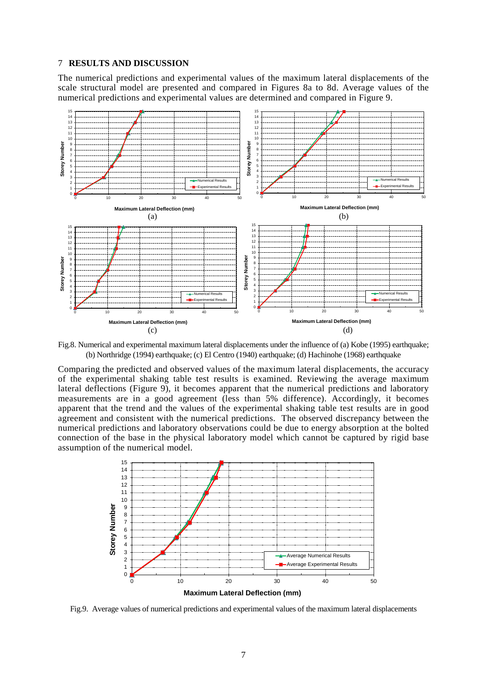## **RESULTS AND DISCUSSION**

The numerical predictions and experimental values of the maximum lateral displacements of the scale structural model are presented and compared in Figures 8a to 8d. Average values of the numerical predictions and experimental values are determined and compared in Figure 9.



Fig.8. Numerical and experimental maximum lateral displacements under the influence of (a) Kobe (1995) earthquake; (b) Northridge (1994) earthquake; (c) El Centro (1940) earthquake; (d) Hachinohe (1968) earthquake

Comparing the predicted and observed values of the maximum lateral displacements, the accuracy of the experimental shaking table test results is examined. Reviewing the average maximum lateral deflections (Figure 9), it becomes apparent that the numerical predictions and laboratory measurements are in a good agreement (less than 5% difference). Accordingly, it becomes apparent that the trend and the values of the experimental shaking table test results are in good agreement and consistent with the numerical predictions. The observed discrepancy between the numerical predictions and laboratory observations could be due to energy absorption at the bolted connection of the base in the physical laboratory model which cannot be captured by rigid base assumption of the numerical model.



Fig.9. Average values of numerical predictions and experimental values of the maximum lateral displacements